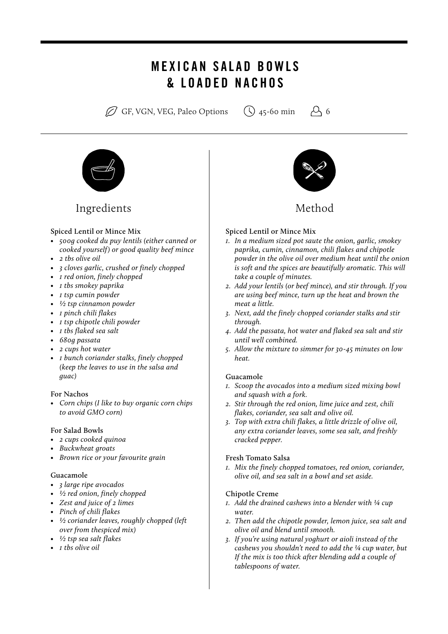# MEXICAN SALAD BOWLS & LOADED NACHOS

 $\oslash$  GF, VGN, VEG, Paleo Options  $\oslash$  45-60 min  $\oslash$  6



## Ingredients Method

#### **Spiced Lentil or Mince Mix**

- *• 500g cooked du puy lentils (either canned or cooked yourself) or good quality beef mince*
- *• 2 tbs olive oil*
- *• 3 cloves garlic, crushed or finely chopped*
- *• 1 red onion, finely chopped*
- *• 1 tbs smokey paprika*
- *• 1 tsp cumin powder*
- *• ½ tsp cinnamon powder*
- *• 1 pinch chili flakes*
- *• 1 tsp chipotle chili powder*
- *• 1 tbs flaked sea salt*
- *• 680g passata*
- *• 2 cups hot water*
- *• 1 bunch coriander stalks, finely chopped (keep the leaves to use in the salsa and guac)*

#### **For Nachos**

*• Corn chips (I like to buy organic corn chips to avoid GMO corn)*

#### **For Salad Bowls**

- *• 2 cups cooked quinoa*
- *• Buckwheat groats*
- *• Brown rice or your favourite grain*

#### **Guacamole**

- *• 3 large ripe avocados*
- *• ½ red onion, finely chopped*
- *• Zest and juice of 2 limes*
- *• Pinch of chili flakes*
- *• ½ coriander leaves, roughly chopped (left over from thespiced mix)*
- *• ½ tsp sea salt flakes*
- *• 1 tbs olive oil*



#### **Spiced Lentil or Mince Mix**

- *1. In a medium sized pot saute the onion, garlic, smokey paprika, cumin, cinnamon, chili flakes and chipotle powder in the olive oil over medium heat until the onion is soft and the spices are beautifully aromatic. This will take a couple of minutes.*
- *2. Add your lentils (or beef mince), and stir through. If you are using beef mince, turn up the heat and brown the meat a little.*
- *3. Next, add the finely chopped coriander stalks and stir through.*
- *4. Add the passata, hot water and flaked sea salt and stir until well combined.*
- *5. Allow the mixture to simmer for 30-45 minutes on low heat.*

#### **Guacamole**

- *1. Scoop the avocados into a medium sized mixing bowl and squash with a fork.*
- *2. Stir through the red onion, lime juice and zest, chili flakes, coriander, sea salt and olive oil.*
- *3. Top with extra chili flakes, a little drizzle of olive oil, any extra coriander leaves, some sea salt, and freshly cracked pepper.*

#### **Fresh Tomato Salsa**

*1. Mix the finely chopped tomatoes, red onion, coriander, olive oil, and sea salt in a bowl and set aside.*

#### **Chipotle Creme**

- *1. Add the drained cashews into a blender with ¼ cup water.*
- *2. Then add the chipotle powder, lemon juice, sea salt and olive oil and blend until smooth.*
- *3. If you're using natural yoghurt or aioli instead of the cashews you shouldn't need to add the ¼ cup water, but If the mix is too thick after blending add a couple of tablespoons of water.*